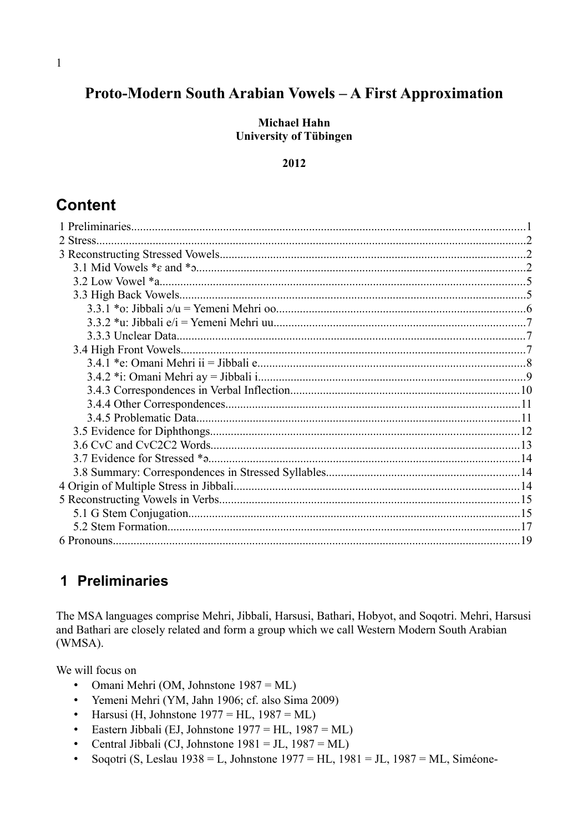# Proto-Modern South Arabian Vowels - A First Approximation

**Michael Hahn University of Tübingen** 

#### 2012

## **Content**

| 2 Stress |  |
|----------|--|
|          |  |
|          |  |
|          |  |
|          |  |
|          |  |
|          |  |
|          |  |
|          |  |
|          |  |
|          |  |
|          |  |
|          |  |
|          |  |
|          |  |
|          |  |
|          |  |
|          |  |
|          |  |
|          |  |
|          |  |
|          |  |
|          |  |
|          |  |

## 1 Preliminaries

The MSA languages comprise Mehri, Jibbali, Harsusi, Bathari, Hobyot, and Soqotri. Mehri, Harsusi and Bathari are closely related and form a group which we call Western Modern South Arabian (WMSA).

We will focus on

- Omani Mehri (OM, Johnstone  $1987 = ML$ )
- Yemeni Mehri (YM, Jahn 1906; cf. also Sima 2009)
- Harsusi (H, Johnstone  $1977 = HL$ ,  $1987 = ML$ )
- Eastern Jibbali (EJ, Johnstone  $1977 = HL$ ,  $1987 = ML$ )
- Central Jibbali (CJ, Johnstone  $1981 = JL$ ,  $1987 = ML$ )  $\bullet$
- Soqotri (S, Leslau 1938 = L, Johnstone 1977 = HL, 1981 = JL, 1987 = ML, Siméone- $\bullet$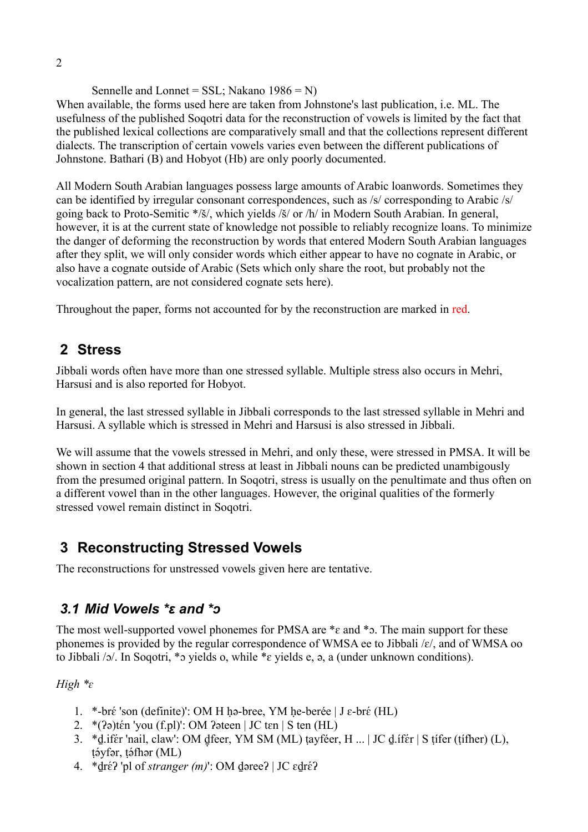Sennelle and Lonnet =  $SSL$ ; Nakano 1986 = N) When available, the forms used here are taken from Johnstone's last publication, i.e. ML. The usefulness of the published Soqotri data for the reconstruction of vowels is limited by the fact that the published lexical collections are comparatively small and that the collections represent different dialects. The transcription of certain vowels varies even between the different publications of Johnstone. Bathari (B) and Hobyot (Hb) are only poorly documented.

All Modern South Arabian languages possess large amounts of Arabic loanwords. Sometimes they can be identified by irregular consonant correspondences, such as /s/ corresponding to Arabic /s/ going back to Proto-Semitic \*/š/, which yields /š/ or /h/ in Modern South Arabian. In general, however, it is at the current state of knowledge not possible to reliably recognize loans. To minimize the danger of deforming the reconstruction by words that entered Modern South Arabian languages after they split, we will only consider words which either appear to have no cognate in Arabic, or also have a cognate outside of Arabic (Sets which only share the root, but probably not the vocalization pattern, are not considered cognate sets here).

Throughout the paper, forms not accounted for by the reconstruction are marked in red.

# **2 Stress**

Jibbali words often have more than one stressed syllable. Multiple stress also occurs in Mehri, Harsusi and is also reported for Hobyot.

In general, the last stressed syllable in Jibbali corresponds to the last stressed syllable in Mehri and Harsusi. A syllable which is stressed in Mehri and Harsusi is also stressed in Jibbali.

We will assume that the vowels stressed in Mehri, and only these, were stressed in PMSA. It will be shown in section 4 that additional stress at least in Jibbali nouns can be predicted unambigously from the presumed original pattern. In Soqotri, stress is usually on the penultimate and thus often on a different vowel than in the other languages. However, the original qualities of the formerly stressed vowel remain distinct in Soqotri.

## **3 Reconstructing Stressed Vowels**

The reconstructions for unstressed vowels given here are tentative.

# *3.1 Mid Vowels \*ɛ and \*ɔ*

The most well-supported vowel phonemes for PMSA are  $*_e$  and  $*_\infty$ . The main support for these phonemes is provided by the regular correspondence of WMSA ee to Jibbali /ɛ/, and of WMSA oo to Jibbali /ɔ/. In Soqotri, \*ɔ yields o, while \*ɛ yields e, ə, a (under unknown conditions).

*High \*ɛ*

- 1. \*-br $\acute{\text{e}}$  'son (definite)': OM H ḥə-bree, YM ḥe-berée | J  $\varepsilon$ -br $\acute{\text{e}}$  (HL)
- 2. \*( $?$ ə)tén 'you (f.pl)': OM  $?$ əteen | JC tɛn  $\vert S$  ten (HL)
- 3. \*d.ifer 'nail, claw': OM dteer, YM SM (ML) tayfeer, H ... | JC d.ifer | S tifer (tifher) (L), təyfər, təfhər (ML)
- 4. \*drɛ́? 'pl of *stranger (m)*': OM dəree? | JC ɛd̪rɛ́?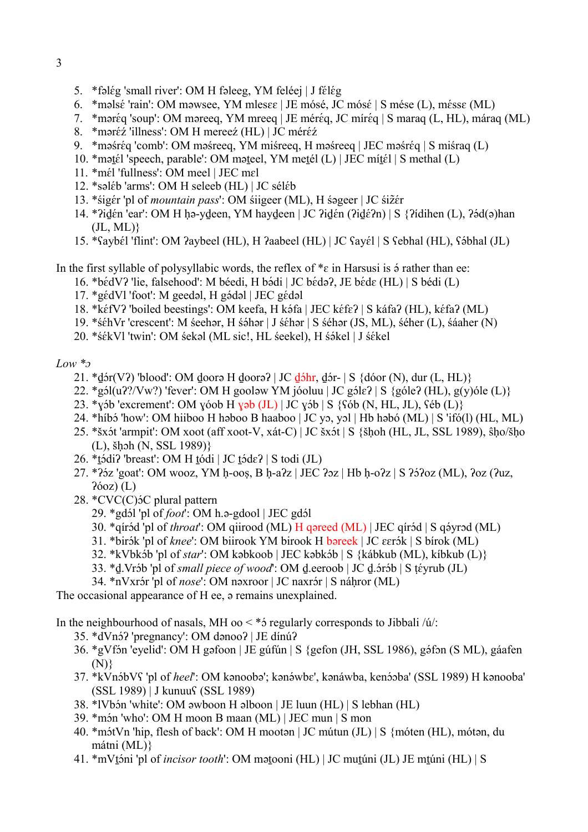- 3
- 5. \*fəlég 'small river': OM H fəleeg, YM feléej | J félég
- 6. \*məlsé 'rain': OM məwsee, YM mles $\varepsilon$  | JE mósé, JC mósé | S mése (L), méss $\varepsilon$  (ML)
- 7. \*məréq 'soup': OM məreeq, YM mreeq | JE méréq, JC míréq | S maraq (L, HL), máraq (ML)
- 8. \* məréz 'illness': OM H mereez (HL) | JC méréz
- 9. \*məśréq 'comb': OM məśreeq, YM miśreeq, H məśreeq | JEC məśréq | S miśraq (L)
- 10. \*mətél 'speech, parable': OM məteel, YM metél (L) | JEC mítél | S methal (L)
- 11. \*mél 'fullness': OM meel | JEC mel
- 12. \*səl $\acute{\text{e}}$ b 'arms': OM H seleeb (HL) | JC sél $\acute{\text{e}}$ b
- 13. \* śigér 'pl of *mountain pass*': OM śiigeer (ML), H śageer | JC śiżér
- 14. \* $\frac{2}{d}$ idɛ́n 'ear': OM H hə-ydeen, YM haydeen | JC  $\frac{2}{d}$ idɛ́n ( $\frac{2}{d}$ idɛ̃n) | S  $\frac{2}{d}$ idihen (L),  $\frac{2}{d}$ əhan  $(JL, ML)$
- 15. \*Saybél 'flint': OM ?aybeel (HL), H ?aabeel (HL) | JC Sayél | S Sebhal (HL), Sóbhal (JL)

In the first syllable of polysyllabic words, the reflex of  $* \varepsilon$  in Harsusi is  $\phi$  rather than ee:

- 16. \*bédV? 'lie, falsehood': M béedi, H bədi | JC bédə?, JE béde (HL) | S bédi (L)
- 17. \*gédVl 'foot': M geedəl, H gədəl | JEC gédəl
- 18. \*kéfV? 'boiled beestings': OM keefa, H káfa | JEC kéfe? | S káfa? (HL), kéfa? (ML)
- 19. \*ś $\acute{\epsilon}$ hVr 'crescent': M śeehər, H śə́hər | J ś $\acute{\epsilon}$ hər | S ś $\acute{\epsilon}$ hər (JS, ML), ś $\acute{\epsilon}$ her (L), śáaher (N)
- 20. \*śékVl 'twin': OM śekəl (ML sic!, HL śeekel), H śókel | J śékel

*Low \*ɔ*

- 21. \*dɔ́r(V?) 'blood': OM doorə H doorə? | JC dɔ́hr, dɔ́r- | S {dóor (N), dur (L, HL)}
- 22. \*gól(u??/Vw?) 'fever': OM H gooləw YM jóoluu | JC gól $\epsilon$ ? | S {góle? (HL), g(y)óle (L)}
- 23. \*yɔ́b 'excrement': OM yóob H yəb  $(JL)$  | JC yɔ́b | S  $\{\text{Sób (N, HL, JL)}, \text{Séb (L)}\}$
- 24. \*híbɔ́ 'how': OM hiiboo H həboo B haaboo | JC yɔ, yɔl | Hb həbó (ML) | S 'ifó(l) (HL, ML)
- 25. \*šxɔ́t 'armpit': OM xoot (aff xoot-V, xát-C) | JC šxɔ́t | S {šḥoh (HL, JL, SSL 1989), ŝḥo/šḥo (L), šḥɔh (N, SSL 1989)}
- 26. \*tódi? 'breast': OM H tódi | JC tód $\varepsilon$ ? | S todi (JL)
- $27.$  \* $\frac{27.42}{302}$ 'goat': OM wooz, YM h-ooṣ, B ḥ-a $\frac{2}{2}$  | JEC  $\frac{2}{2}$  | Hb ḥ-o $\frac{2}{2}$  | S  $\frac{25}{2}$ oz (ML),  $\frac{20}{2}$  ( $\frac{20}{2}$ ,  $P$ (*L*)  $(L)$
- 28.  $*CVC(C)$ 5C plural pattern
	- 29. \*gdɔ́l 'pl of *foot*': OM h.ə-gdool | JEC gdɔ́l
	- 30. \*qirɔd 'pl of *throat*': OM giirood (ML) H gəreed (ML) | JEC qirɔd | S gəvrəd (ML)
	- 31. \*birɔ́k 'pl of *knee*': OM biirook YM birook H bareek | JC ɛɛrɔ́k | S bírok (ML)
	- 32. \*kVbkɔ́b 'pl of *star*': OM kəbkoob | JEC kəbkɔ́b | S {kábkub (ML), kíbkub (L)}
	- 33. \*<u>d</u>.Vrɔ́b 'pl of *small piece of wood*': OM <u>d</u>.eeroob | JC <u>d</u>.ɔ́rɔ́b | S ṭɛ́yrub (JL)
	- 34. \*nVxr<mark>ər 'pl of *nose*': OM nəxroor | JC naxrə́r | S náḥror (ML)</mark>

The occasional appearance of H ee, ə remains unexplained.

In the neighbourhood of nasals, MH oo  $\lt$  \*5 regularly corresponds to Jibbali /ú/:

- 35. \*dVn5? 'pregnancy': OM dənoo? | JE dínú?
- 36. \*gVfón 'eyelid': OM H gəfoon | JE gúfún | S {gefon (JH, SSL 1986), gəfon (S ML), gáafen (N)}
- 37. \*kVnɔ́bVʕ 'pl of *heel*': OM kənoobə'; kənə́wbɛ', kənáwba, kenɔ́ɔba' (SSL 1989) H kənooba' (SSL 1989) | J kunuuʕ (SSL 1989)
- 38. \*IVbɔ́n 'white': OM əwboon H əlboon | JE luun (HL) | S lebhan (HL)
- 39. \*mɔ́n 'who': OM H moon B maan (ML) | JEC mun | S mon
- 40. \*mɔ́tVn 'hip, flesh of back': OM H mootǝn | JC mútun (JL) | S {móten (HL), mótǝn, du mátni (ML)}
- 41. \*mVtoni 'pl of *incisor tooth*': OM mətooni (HL) | JC mutuni (JL) JE mtuni (HL) | S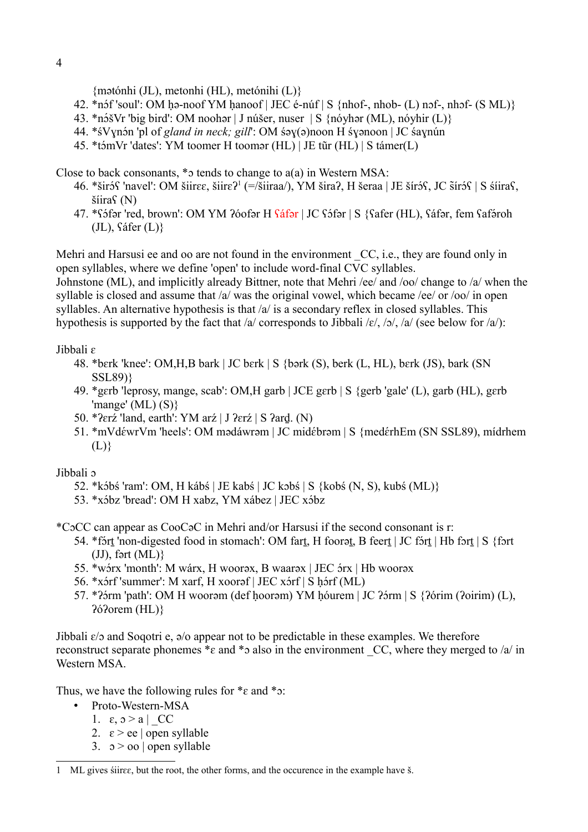{mətónhi (JL), metonhi (HL), metónihi (L)}

- 42. \*nɔ́f 'soul': OM ḥə-noof YM ḥanoof | JEC é-núf | S {nhof-, nhob- (L) nɔf-, nhɔf- (S ML)}
- 43. \*nɔ́šVr 'big bird': OM noohǝr | J núšer, nuser | S {nóyhǝr (ML), nóyhir (L)}
- 44. \*śVynón 'pl of *gland in neck; gill*': OM śəy(ə)noon H śyənoon | JC śaynún
- 45. \*tɔ́mVr 'dates': YM toomer H toomər (HL) | JE tūr (HL) | S támer(L)

Close to back consonants,  $*$ o tends to change to  $a(a)$  in Western MSA:

- 46. \*širóS 'navel': OM šiir $\varepsilon$ e, šiir $\varepsilon$ ?<sup>[1](#page-3-0)</sup> (=/šiiraa/), YM šira?, H šeraa | JE šíróS, JC šíróS | S śíiraS, šíiraʕ (N)
- 47. \*S<mark>əfər 'red, brown': OM YM ?60fər H <mark>Sáfər</mark> | JC Sə́fər | S {Safer (HL), Sáfər, fem Safə́roh</mark> (JL), ʕáfer (L)}

Mehri and Harsusi ee and oo are not found in the environment CC, i.e., they are found only in open syllables, where we define 'open' to include word-final CVC syllables.

Johnstone (ML), and implicitly already Bittner, note that Mehri /ee/ and /oo/ change to /a/ when the syllable is closed and assume that /a/ was the original vowel, which became /ee/ or /oo/ in open syllables. An alternative hypothesis is that  $\alpha$  is a secondary reflex in closed syllables. This hypothesis is supported by the fact that /a/ corresponds to Jibbali /ɛ/, /ɔ/, /a/ (see below for /a/):

#### Jibbali ɛ

- 48. \*bɛrk 'knee': OM,H,B bark | JC bɛrk | S {bərk (S), berk (L, HL), bɛrk (JS), bark (SN SSL89)}
- 49. \*gɛrb 'leprosy, mange, scab': OM,H garb | JCE gɛrb | S {gerb 'gale' (L), garb (HL), gɛrb 'mange' (ML)  $(S)$ }
- 50. \*ʔɛrź 'land, earth': YM arź | J ʔɛrź | S ʔarḏ. (N)
- 51. \*mVdéwrVm 'heels': OM mədáwrəm | JC midébrəm | S {medérhEm (SN SSL89), mídrhem  $(L)$

Jibbali ɔ

- 52. \*kɔ́bś 'ram': OM, H kábś | JE kabś | JC kɔbs | S {kobs (N, S), kubs (ML)}
- 53. \*xɔ́bz 'bread': OM H xabz, YM xábez | JEC xɔ́bz

\*CɔCC can appear as CooCəC in Mehri and/or Harsusi if the second consonant is r:

- 54. \*fort 'non-digested food in stomach': OM fart, H foorat, B feert | JC fort | Hb fort | S {fort  $(JJ)$ , fərt  $(ML)$ }
	- 55. \*wɔ́rx 'month': M wárx, H woorəx, B waarəx | JEC ɔ́rx | Hb woorəx
	- 56. \*xɔ́rf 'summer': M xarf, H xoorəf | JEC xɔ́rf | S ḥɔ́rf (ML)
	- 57. \*?5rm 'path': OM H woorəm (def ḥoorəm) YM ḥóurem | JC ?5rm | S {?6rim (?0irim) (L), ʔóʔorem (HL)}

Jibbali  $\varepsilon$ /b and Soqotri e,  $\vartheta$ /o appear not to be predictable in these examples. We therefore reconstruct separate phonemes  $*_\epsilon$  and  $*_\delta$  also in the environment CC, where they merged to /a/ in Western MSA.

Thus, we have the following rules for  $*_\varepsilon$  and  $*_\infty$ :

- Proto-Western-MSA
	- 1.  $\varepsilon$ ,  $\vartheta$  > a | CC
	- 2.  $\varepsilon > e e$  | open syllable
	- 3.  $\sigma > \infty$  | open syllable

<span id="page-3-0"></span><sup>1</sup> ML gives śiirɛɛ, but the root, the other forms, and the occurence in the example have š.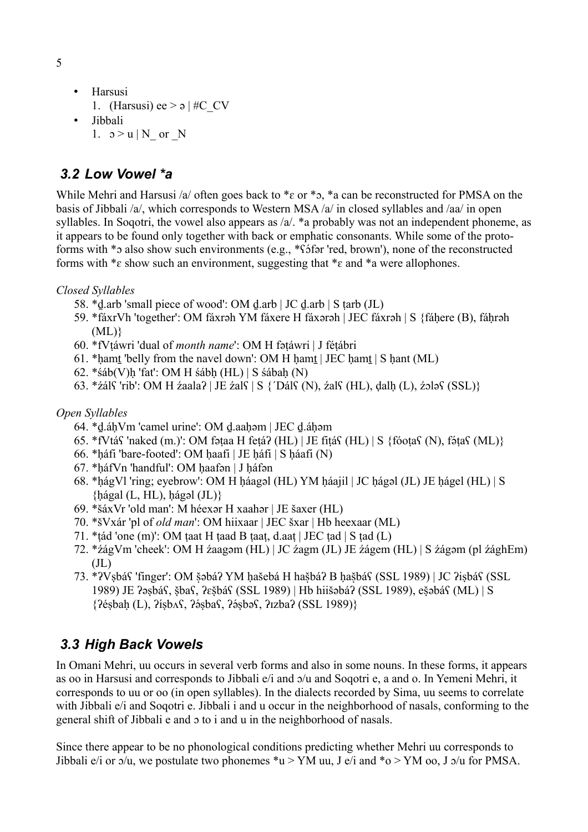- Harsusi 1. (Harsusi) ee  $> \frac{1}{2}$  #C\_CV • Jibbali
	- 1.  $\upsilon > u \mid N$  or N

## *3.2 Low Vowel \*a*

While Mehri and Harsusi /a/ often goes back to  $*_\epsilon$  or  $*_\circ$ ,  $*_\alpha$  can be reconstructed for PMSA on the basis of Jibbali /a/, which corresponds to Western MSA /a/ in closed syllables and /aa/ in open syllables. In Sogotri, the vowel also appears as /a/. \*a probably was not an independent phoneme, as it appears to be found only together with back or emphatic consonants. While some of the protoforms with \*5 also show such environments (e.g., \*f5far 'red, brown'), none of the reconstructed forms with  $\ast \varepsilon$  show such an environment, suggesting that  $\ast \varepsilon$  and  $\ast$  were allophones.

### *Closed Syllables*

- 58. \*ḏ.arb 'small piece of wood': OM ḏ.arb | JC ḏ.arb | S ṭarb (JL)
- 59. \*fáxrVh 'together': OM fáxrəh YM fáxere H fáxərəh | JEC fáxrəh | S {fáḥere (B), fáḥrəh  $(ML)$ }
- 60. \*fVṭáwri 'dual of *month name*': OM H fəṭáwri | J féṭábri
- 61. \*hamt 'belly from the navel down': OM H hamt | JEC hamt | S hant (ML)
- 62. \*śáb(V)ḥ 'fat': OM H śábḥ (HL) | S śábaḥ (N)
- 63. \*źálʕ 'rib': OM H źaalaʔ | JE źalʕ | S {´Dálʕ (N), źalʕ (HL), dalḥ (L), źɔlǝʕ (SSL)}

### *Open Syllables*

- 64. \*ḏ.áḥVm 'camel urine': OM ḏ.aaḥəm | JEC ḏ.áḥəm
- $65.$  \*fVtá $S$  'naked (m.)': OM fəṭaa H feṭá? (HL) | JE fiṭá $S$  (HL) |  $S$  {fóoṭa $S$  (N), fəṭa $S$  (ML)}
- 66. \*ḥáfi 'bare-footed': OM ḥaafi | JE ḥáfi | S ḥáafi (N)
- 67. \*ḥáfVn 'handful': OM ḥaafən | J ḥáfǝn
- 68. \*ḥágVl 'ring; eyebrow': OM H ḥáagəl (HL) YM ḥáajil | JC ḥágəl (JL) JE ḥágel (HL) | S  $\{h\{agal (L, HL), h\{agal (JL)\}\}\}$
- 69. \*šáxVr 'old man': M héexər H xaahər | JE šaxer (HL)
- 70. \*šVxár 'pl of *old man*': OM hiixaar | JEC šxar | Hb heexaar (ML)
- 71. \*ṭád 'one (m)': OM ṭaat H ṭaad B ṭaaṭ, d.aaṭ | JEC ṭad | S ṭad (L)
- 72. \*źágVm 'cheek': OM H źaagəm (HL) | JC źagm (JL) JE źágem (HL) | S źágəm (pl źághEm)  $(JL)$
- 73. \*?VsbáS 'finger': OM šəbá? YM hašebá H hašbá? B hašbá\$ (SSL 1989) | JC ?isbá\$ (SSL 1989) JE ?əsbás, šbas, ?ešbás (SSL 1989) | Hb hiišəbá? (SSL 1989), ešəbás (ML) | S  $\{? \acute{e}s bah (L), ? \acute{e}sbaS, ? \acute{e}sbaS, ? \acute{e}sbaS (SSL 1989) \}$

# *3.3 High Back Vowels*

In Omani Mehri, uu occurs in several verb forms and also in some nouns. In these forms, it appears as oo in Harsusi and corresponds to Jibbali e/i and ɔ/u and Soqotri e, a and o. In Yemeni Mehri, it corresponds to uu or oo (in open syllables). In the dialects recorded by Sima, uu seems to correlate with Jibbali e/i and Soqotri e. Jibbali i and u occur in the neighborhood of nasals, conforming to the general shift of Jibbali e and ɔ to i and u in the neighborhood of nasals.

Since there appear to be no phonological conditions predicting whether Mehri uu corresponds to Jibbali e/i or  $\alpha$ /u, we postulate two phonemes \*u > YM uu, J e/i and \*o > YM oo, J  $\alpha$ /u for PMSA.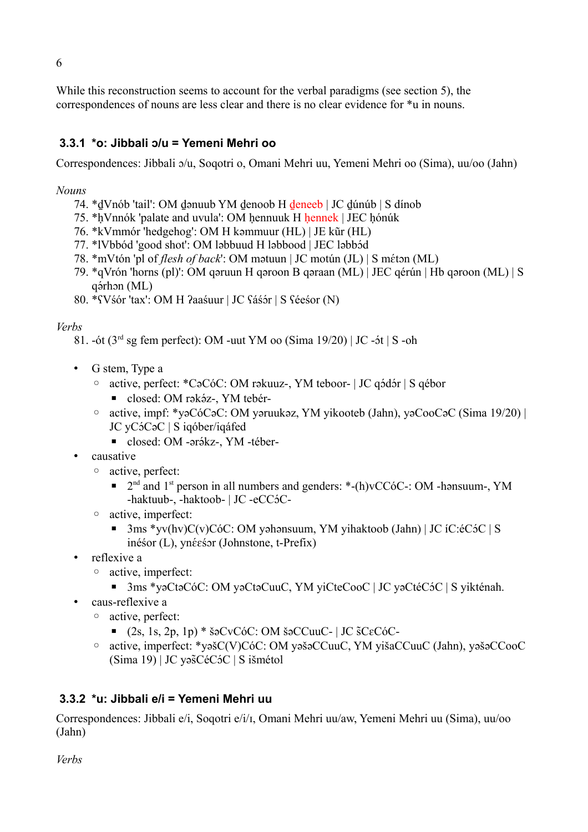While this reconstruction seems to account for the verbal paradigms (see section 5), the correspondences of nouns are less clear and there is no clear evidence for \*u in nouns.

## **3.3.1 \*o: Jibbali ɔ/u = Yemeni Mehri oo**

Correspondences: Jibbali ɔ/u, Soqotri o, Omani Mehri uu, Yemeni Mehri oo (Sima), uu/oo (Jahn)

### *Nouns*

- 74. \*ḏVnób 'tail': OM ḏənuub YM ḏenoob H ḏeneeb | JC ḏúnúb | S dínob
- 75. \*ḥVnnók 'palate and uvula': OM ḥennuuk H ḥennek | JEC ḥónúk
- 76. \*kVmmór 'hedgehog': OM H kəmmuur (HL) | JE kūr (HL)
- 77. \*lVbbód 'good shot': OM ləbbuud H ləbbood | JEC ləbbód
- 78. \*mVtón 'pl of *flesh of back*': OM mətuun | JC motún (JL) | S méton (ML)
- 79. \*qVrón 'horns (pl)': OM qəruun H qəroon B qəraan (ML) | JEC qérún | Hb qəroon (ML) | S qə́rhɔn (ML)
- 80. \*<code>SV</code>śór 'tax': OM H ?aaśuur | JC <code>Sáś</code>ór | S <code>Sée</code>śor (N)

### *Verbs*

- 81. -ót ( $3<sup>rd</sup>$  sg fem perfect): OM -uut YM oo (Sima 19/20) | JC -ót | S -oh
- G stem, Type a
	- ∘ active, perfect: \*CəCóC: OM rəkuuz-, YM teboor- | JC qódór | S qébor
		- $\blacksquare$  closed: OM rəkəz-, YM teber-
	- active, impf: \*yəCóCəC: OM yəruukəz, YM yikooteb (Jahn), yəCooCəC (Sima 19/20) | JC yC<sup>5</sup>C<sub>9</sub>C | S iqóber/iqáfed
		- $\blacksquare$  closed: OM -ərəkz-, YM -téber-
- causative
	- active, perfect:
		- 2<sup>nd</sup> and 1<sup>st</sup> person in all numbers and genders: \*-(h)vCCóC-: OM -hənsuum-, YM -haktuub-, -haktoob- | JC -eCC5C-
	- active, imperfect:
		- $\blacksquare$  3ms \*vv(hv)C(v)CóC: OM yəhənsuum, YM yihaktoob (Jahn) | JC íC:éC5C | S inésor (L), ynéesor (Johnstone, t-Prefix)
- reflexive a
	- active, imperfect:
		- $\blacksquare$  3ms \*yəCtəCóC: OM yəCtəCuuC, YM yiCteCooC | JC yəCtéCóC | S yikténah.
- caus-reflexive a
	- active, perfect:
		- $\blacksquare$  (2s, 1s, 2p, 1p) \* šəCvCóC: OM šəCCuuC- | JC  $SCE$ c $C$ óC-
	- active, imperfect: \*yəšC(V)CóC: OM yəšəCCuuC, YM yišaCCuuC (Jahn), yəšəCCooC  $(Sima 19)$  | JC yəscecos | S išmétol

### **3.3.2 \*u: Jibbali e/i = Yemeni Mehri uu**

Correspondences: Jibbali e/i, Soqotri e/i/ɪ, Omani Mehri uu/aw, Yemeni Mehri uu (Sima), uu/oo (Jahn)

*Verbs*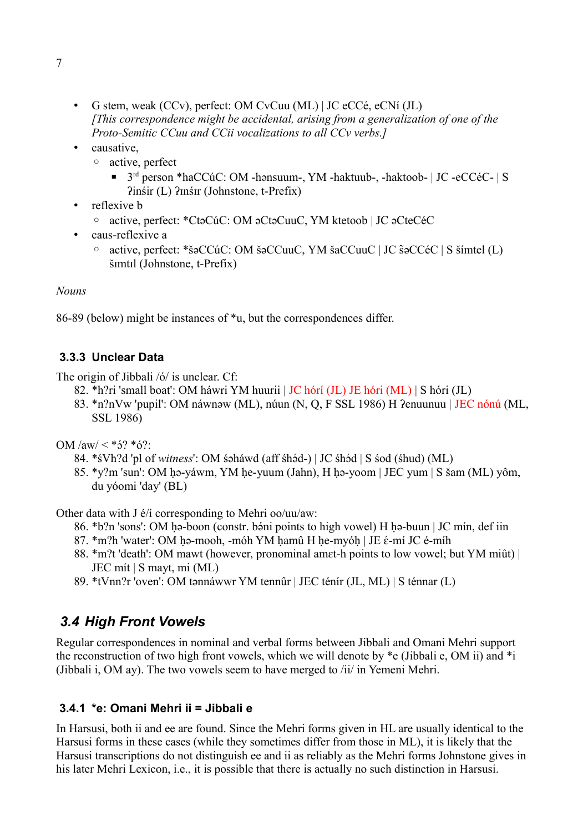- G stem, weak (CCv), perfect: OM CvCuu (ML) | JC eCCé, eCNí (JL) *[This correspondence might be accidental, arising from a generalization of one of the Proto-Semitic CCuu and CCii vocalizations to all CCv verbs.]*
- causative,
	- active, perfect
		- 3<sup>rd</sup> person \*haCCúC: OM -hənsuum-, YM -haktuub-, -haktoob- | JC -eCCéC- | S ʔinśir (L) ʔɪnśɪr (Johnstone, t-Prefix)
- reflexive **b** 
	- active, perfect: \*CtəCúC: OM əCtəCuuC, YM ktetoob | JC əCteCéC
- caus-reflexive a
	- active, perfect: \*šəCCúC: OM šəCCuuC, YM šaCCuuC | JC šəCCéC | S šímtel (L) šɪmtɪl (Johnstone, t-Prefix)

#### *Nouns*

86-89 (below) might be instances of \*u, but the correspondences differ.

### **3.3.3 Unclear Data**

The origin of Jibbali /ó/ is unclear. Cf:

- 82. \*h?ri 'small boat': OM háwri YM huurii | JC hórí (JL) JE hóri (ML) | S hóri (JL)
- 83. \*n?nVw 'pupil': OM náwnəw (ML), núun (N, Q, F SSL 1986) H ?enuunuu | JEC nónú (ML, SSL 1986)

OM  $/aw/ $\frac{*}{2}$ ? *ó?:$ 

- 84. \*sVh?d 'pl of *witness*': OM səháwd (aff shəd-) | JC shəd | S sod (shud) (ML)
- 85. \*y?m 'sun': OM ḥə-yáwm, YM ḥe-yuum (Jahn), H ḥə-yoom | JEC yum | S šam (ML) yôm, du yóomi 'day' (BL)

Other data with J é/í corresponding to Mehri oo/uu/aw:

- 86. \*b?n 'sons': OM hə-boon (constr. bəni points to high vowel) H hə-buun | JC min, def iin
- 87.  $\text{*m?h}$  'water': OM ḥə-mooh, -móh YM ḥamû H ḥe-myóḥ | JE  $\acute{\text{\emph{e}}}$ -mí JC é-míh
- 88. \*m?t 'death': OM mawt (however, pronominal amɛt-h points to low vowel; but YM miût) | JEC mít | S mayt, mi (ML)
- 89. \*tVnn?r 'oven': OM tənnáwwr YM tennûr | JEC ténír (JL, ML) | S ténnar (L)

## *3.4 High Front Vowels*

Regular correspondences in nominal and verbal forms between Jibbali and Omani Mehri support the reconstruction of two high front vowels, which we will denote by \*e (Jibbali e, OM ii) and \*i (Jibbali i, OM ay). The two vowels seem to have merged to /ii/ in Yemeni Mehri.

### **3.4.1 \*e: Omani Mehri ii = Jibbali e**

In Harsusi, both ii and ee are found. Since the Mehri forms given in HL are usually identical to the Harsusi forms in these cases (while they sometimes differ from those in ML), it is likely that the Harsusi transcriptions do not distinguish ee and ii as reliably as the Mehri forms Johnstone gives in his later Mehri Lexicon, i.e., it is possible that there is actually no such distinction in Harsusi.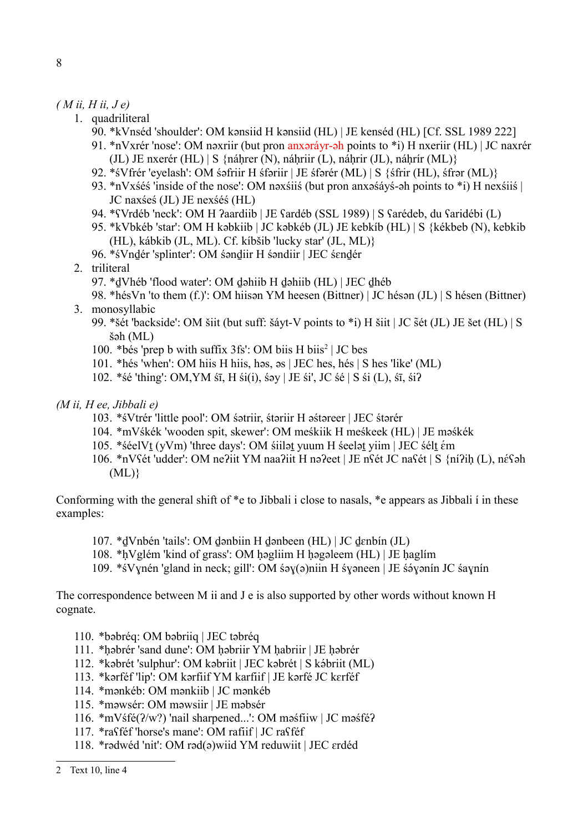#### *( M ii, H ii, J e)*

- 1. quadriliteral
	- 90. \*kVnséd 'shoulder': OM kənsiid H kənsiid (HL) | JE kenséd (HL) [Cf. SSL 1989 222]
	- 91. \*nVxrér 'nose': OM nəxriir (but pron anxəráyr-əh points to \*i) H nxeriir (HL) | JC naxrér (JL) JE nxerér (HL)  $|S \nvert$ fiáhrer (N), náhriir (L), náhrir (JL), náhrír (ML) $\}$
	- 92. \*śVfrér 'eyelash': OM śəfriir H śfəriir | JE śfərér (ML) | S {śfrir (HL), śfrər (ML)}
	- 93. \*nVxśéś 'inside of the nose': OM nəxśiiś (but pron anxəśáyś-əh points to \*i) H nexśiiś | JC naxśeś (JL) JE nexśéś (HL)
	- 94. \*ʕVrdéb 'neck': OM H ʔaardiib | JE ʕardéb (SSL 1989) | S ʕarédeb, du ʕaridébi (L)
	- 95. \*kVbkéb 'star': OM H kəbkiib | JC kəbkéb (JL) JE kebkíb (HL) | S {kékbeb (N), kebkib (HL), kábkib (JL, ML). Cf. kíbšib 'lucky star' (JL, ML)}
	- 96. \*śVnḏér 'splinter': OM śənḏiir H śəndiir | JEC śɛnḏér
- 2. triliteral
	- 97. \*ḏVhéb 'flood water': OM ḏəhiib H ḏəhiib (HL) | JEC ḏhéb
- 98. \*hésVn 'to them (f.)': OM hiisən YM heesen (Bittner) | JC hésən (JL) | S hésen (Bittner) 3. monosyllabic
	- 99. \*šét 'backside': OM šiit (but suff: šáyt-V points to \*i) H šiit | JC s̃ét (JL) JE šet (HL) | S šəh (ML)
	- 100. \*bés 'prep b with suffix 3fs': OM biis H biis<sup>[2](#page-7-0)</sup> | JC bes
	- 101. \*hés 'when': OM hiis H hiis, həs, əs | JEC hes, hés | S hes 'like' (ML)
	- 102. \*śé 'thing': OM,YM śī, H śi(i), śǝy | JE śi', JC śé | S śi (L), śī, śiʔ

#### *(M ii, H ee, Jibbali e)*

- 103. \*śVtrér 'little pool': OM śətriir, śtəriir H əśtəreer | JEC śtərér
- 104. \*mVśkék 'wooden spit, skewer': OM meśkiik H meśkeek (HL) | JE məśkék
- 105. \*séelVt (yVm) 'three days': OM siilət yuum H seelət yiim | JEC sélt ém
- 106. \*nVSét 'udder': OM ne?iit YM naa?iit H nə?eet | JE nSét JC naSét | S {ní?iḥ (L), néSəh  $(ML)$ }

Conforming with the general shift of \*e to Jibbali i close to nasals, \*e appears as Jibbali í in these examples:

- 107. \*ḏVnbén 'tails': OM ḏənbiin H ḏənbeen (HL) | JC ḏɛnbín (JL)
- 108. \*ḥVglém 'kind of grass': OM ḥəgliim H ḥəgəleem (HL) | JE ḥaglím
- 109. \*śVynén 'gland in neck; gill': OM śəy(ə)niin H śyəneen | JE śəyənin JC śaynin

The correspondence between M ii and J e is also supported by other words without known H cognate.

- 110. \*bəbréq: OM bəbriiq | JEC təbréq
- 111. \*ḥəbrér 'sand dune': OM ḥəbriir YM ḥabriir | JE ḥəbrér
- 112. \*kəbrét 'sulphur': OM kəbriit | JEC kəbrét | S kəpriit (ML)
- 113. \*kərféf 'lip': OM kərfiif YM karfiif | JE kərfé JC kɛrféf
- 114. \*mənkéb: OM mənkiib | JC mənkéb
- 115. \*məwsér: OM məwsiir | JE məbsér
- 116. \*mVśfé(ʔ/w?) 'nail sharpened...': OM məśfiiw | JC məśféʔ
- 117. \*raʕféf 'horse's mane': OM rafiif | JC raʕféf
- 118. \*rədwéd 'nit': OM rəd(ə)wiid YM reduwiit | JEC ɛrdéd

<span id="page-7-0"></span><sup>2</sup> Text 10, line 4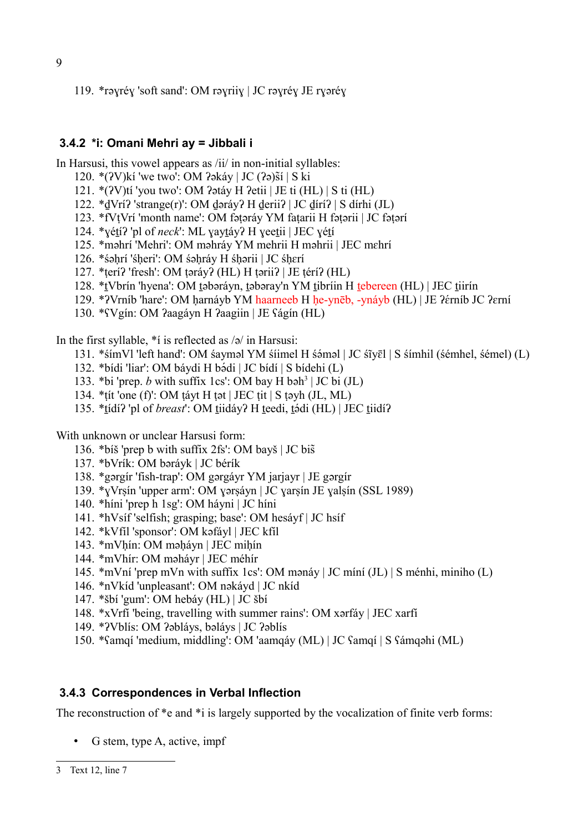119. \*rəɣréɣ 'soft sand': OM rəɣriiɣ | JC rəɣréɣ JE rɣəréɣ

### **3.4.2 \*i: Omani Mehri ay = Jibbali i**

In Harsusi, this vowel appears as /ii/ in non-initial syllables:

- 120.  $*(2V)$ kí 'we two': OM  $2\delta$ akáy | JC  $(2\delta)$ sí | S ki
- 121. \*(ʔV)tí 'you two': OM ʔətáy H ʔetii | JE ti (HL) | S ti (HL)
- 122. \*ḏVríʔ 'strange(r)': OM ḏəráyʔ H ḏeriiʔ | JC ḏíríʔ | S dírhi (JL)
- 123. \*fVṭVrí 'month name': OM fəṭəráy YM faṭarii H fəṭərii | JC fəṭərí
- 124. \*ɣéṯíʔ 'pl of *neck*': ML ɣayṯáyʔ H ɣeeṯii | JEC ɣéṯí
- 125. \*məhrí 'Mehri': OM məhráy YM mehrii H məhrii | JEC mɛhrí
- 126. \*śəḥrí 'śḥeri': OM śəḥráy H śḥərii | JC śḥɛrí
- 127. \*ṭeríʔ 'fresh': OM ṭəráyʔ (HL) H ṭəriiʔ | JE ṭéríʔ (HL)
- 128. \*ṯVbrín 'hyena': OM ṯəbəráyn, ṯəbəray'n YM ṯibríin H ṯebereen (HL) | JEC ṯiirín
- 129. \*?Vrníb 'hare': OM ḥarnáyb YM haarneeb H ḥe-ynēb, -ynáyb (HL) | JE ?érníb JC ?erní
- 130. \*ʕVgín: OM ʔaagáyn H ʔaagiin | JE ʕágín (HL)

In the first syllable, \*í is reflected as /ə/ in Harsusi:

- 131. \*śímVl 'left hand': OM śayməl YM śíimel H śəməl | JC śīyēl | S śímhil (śémhel, śémel) (L)
- 132. \*bídi 'liar': OM báydi H bádi | JC bídí | S bídehi (L)
- 1[3](#page-8-0)3. \*bi 'prep. *b* with suffix 1cs': OM bay H bəh<sup>3</sup> | JC bi (JL)
- 134. \*ṭít 'one (f)': OM ṭáyt H ṭət | JEC ṭit | S ṭəyh (JL, ML)
- 135. \*tídí? 'pl of *breast*': OM tiidáy? H teedi, tódi (HL) | JEC tiidí?

With unknown or unclear Harsusi form:

- 136. \*bíš 'prep b with suffix 2fs': OM bayš | JC bisä
- 137. \*bVrík: OM bəráyk | JC bérík
- 138. \*gərgír 'fish-trap': OM gərgáyr YM jarjayr | JE gərgír
- 139. \*ɣVrṣín 'upper arm': OM ɣərṣáyn | JC ɣarṣín JE ɣalṣín (SSL 1989)
- 140. \*híni 'prep h 1sg': OM háyni | JC híni
- 141. \*hVsíf 'selfish; grasping; base': OM hesáyf | JC hsíf
- 142. \*kVfíl 'sponsor': OM kəfáyl | JEC kfíl
- 143. \*mVḥín: OM məḥáyn | JEC miḥín
- 144. \*mVhír: OM məháyr | JEC méhír
- 145. \*mVní 'prep mVn with suffix 1cs': OM mənáy | JC míní (JL) | S ménhi, miniho (L)
- 146. \*nVkíd 'unpleasant': OM nəkáyd | JC nkíd
- 147. \*šbí 'gum': OM hebáy (HL) | JC šbí
- 148. \*xVrfí 'being, travelling with summer rains': OM xərfáy | JEC xarfí
- 149. \*ʔVblís: OM ʔəbláys, bəláys | JC ʔəblís
- 150. \*ʕamqí 'medium, middling': OM 'aamqáy (ML) | JC ʕamqí | S ʕámqəhi (ML)

### **3.4.3 Correspondences in Verbal Inflection**

The reconstruction of  $*$ e and  $*$ i is largely supported by the vocalization of finite verb forms:

<span id="page-8-0"></span>• G stem, type A, active, impf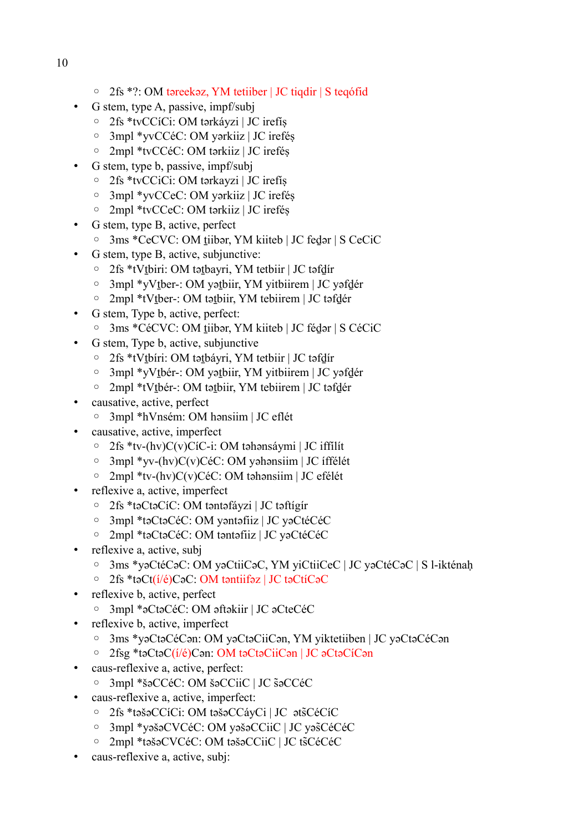- 10
- 2fs \*?: OM təreekəz, YM tetiiber | JC tiqdir | S teqófid
- G stem, type A, passive, impf/subj
	- 2fs \*tvCCíCi: OM tərkáyzi | JC irefíṣ
	- 3mpl \*yvCCéC: OM yərkiiz | JC ireféṣ
	- 2mpl \*tvCCéC: OM tərkiiz | JC ireféṣ
	- G stem, type b, passive, impf/subj
		- 2fs \*tvCCiCi: OM tərkayzi | JC irefíṣ
		- 3mpl \*yvCCeC: OM yərkiiz | JC ireféṣ
		- 2mpl \*tvCCeC: OM tərkiiz | JC ireféṣ
- G stem, type B, active, perfect
	- 3ms \*CeCVC: OM ṯiibər, YM kiiteb | JC feḏər | S CeCiC
- G stem, type B, active, subjunctive:
	- 2fs \*tVṯbiri: OM təṯbayri, YM tetbiir | JC təfḏír
	- 3mpl \*yVṯber-: OM yəṯbiir, YM yitbiirem | JC yəfḏér
	- 2mpl \*tVṯber-: OM təṯbiir, YM tebiirem | JC təfḏér
- G stem, Type b, active, perfect:
	- 3ms \*CéCVC: OM ṯiibər, YM kiiteb | JC féḏər | S CéCiC
- G stem, Type b, active, subjunctive
	- 2fs \*tVṯbíri: OM təṯbáyri, YM tetbiir | JC təfḏír
	- 3mpl \*yVṯbér-: OM yəṯbiir, YM yitbiirem | JC yəfḏér
	- 2mpl \*tVṯbér-: OM təṯbiir, YM tebiirem | JC təfḏér
- causative, active, perfect
	- 3mpl \*hVnsém: OM hənsiim | JC eflét
- causative, active, imperfect
	- 2fs \*tv-(hv)C(v)CíC-i: OM təhənsáymi | JC iffílít
	- 3mpl \*yv-(hv)C(v)CéC: OM yəhənsiim | JC íffélét
	- 2mpl \*tv-(hv)C(v)CéC: OM təhənsiim | JC efélét
- reflexive a, active, imperfect
	- 2fs \*təCtəCíC: OM təntəfáyzi | JC təftígír
	- 3mpl \*təCtəCéC: OM yəntəfiiz | JC yəCtéCéC
	- 2mpl \*təCtəCéC: OM təntəfiiz | JC yəCtéCéC
- reflexive a, active, subj
	- 3ms \*yəCtéCəC: OM yəCtiiCəC, YM yiCtiiCeC | JC yəCtéCəC | S l-ikténaḥ
	- 2fs \*təCt(í/é)CəC: OM təntiifəz | JC təCtíCəC
- reflexive b, active, perfect
	- 3mpl \*əCtəCéC: OM əftəkiir | JC əCteCéC
- reflexive b, active, imperfect
	- 3ms \*yəCtəCéCən: OM yəCtəCiiCən, YM yiktetiiben | JC yəCtəCéCən
	- 2fsg \*təCtəC(í/é)Cən: OM təCtəCiiCən | JC əCtəCíCən
- caus-reflexive a, active, perfect:
	- 3mpl \*šəCCéC: OM šəCCiiC | JC səCCéC ä
- caus-reflexive a, active, imperfect:
	- 2fs \*təšəCCíCi: OM təšəCCáyCi | JC ətsCéCíC ä
	- 3mpl \*yəšəCVCéC: OM yəšəCCiiC | JC yəsCéCéC ä
	- 2mpl \*təšəCVCéC: OM təšəCCiiC | JC tsCéCéC ä
- caus-reflexive a, active, subj: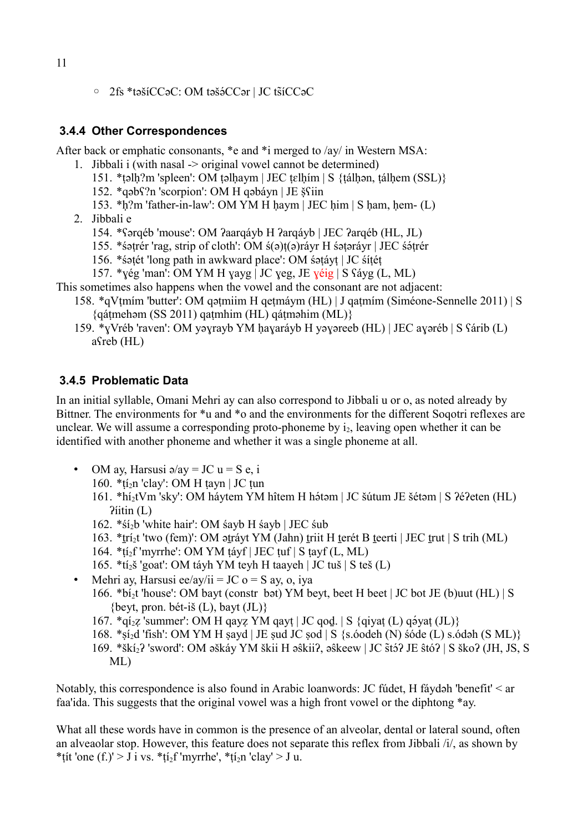◦ 2fs \*təšíCCəC: OM təšəQCCər | JC tsíCCəC ä

#### **3.4.4 Other Correspondences**

After back or emphatic consonants, \*e and \*i merged to /ay/ in Western MSA:

- 1. Jibbali i (with nasal -> original vowel cannot be determined)
	- 151. \*təlh?m 'spleen': OM təlhaym | JEC tɛlhím | S {tálhən, tálhem (SSL)}
	- 152. \*qəbʕ?n 'scorpion': OM H qəbáyn | JE šʕiin w
	- 153. \*ḥ?m 'father-in-law': OM YM H ḥaym | JEC ḥim | S ḥam, ḥem- (L)
- 2. Jibbali e
	- 154. \*ʕərqéb 'mouse': OM ʔaarqáyb H ʔarqáyb | JEC ʔarqéb (HL, JL)
	- 155. \* śatrér 'rag, strip of cloth': OM ś(a)t(a)ráyr H śataráyr | JEC śátrér
	- 156. \*śəṭét 'long path in awkward place': OM śəṭáyṭ | JC śíṭéṭ
	- 157. \*yég 'man': OM YM H yayg | JC yeg, JE  $\chi$ éig | S  $\chi$ áyg (L, ML)

#### This sometimes also happens when the vowel and the consonant are not adjacent:

- 158. \*qVṭmím 'butter': OM qəṭmiim H qeṭmáym (HL) | J qaṭmím (Siméone-Sennelle 2011) | S  ${q$ átmehəm (SS 2011) qatmhim (HL) qátməhim (ML) ${ }$
- 159. \*ɣVréb 'raven': OM yəɣrayb YM ḥaɣaráyb H yəɣəreeb (HL) | JEC aɣəréb | S ʕárib (L) aʕreb (HL)

#### **3.4.5 Problematic Data**

In an initial syllable, Omani Mehri ay can also correspond to Jibbali u or o, as noted already by Bittner. The environments for \*u and \*o and the environments for the different Soqotri reflexes are unclear. We will assume a corresponding proto-phoneme by  $i_2$ , leaving open whether it can be identified with another phoneme and whether it was a single phoneme at all.

- OM ay, Harsusi  $\triangleleft$ /ay = JC u = S e, i
	- 160. \*tí<sub>2</sub>n 'clay': OM H tayn | JC tun
	- 161. \*hí<sub>2</sub>tVm 'sky': OM háytem YM hîtem H hátam | JC šútum JE šétam | S ?é?eten (HL)  $P$ iitin  $(L)$
	- 162. \* $Si<sub>2</sub>b$  'white hair': OM sayb H sayb | JEC sub
	- 163. \*trí<sub>2</sub>t 'two (fem)': OM atrávt YM (Jahn) triit H terét B teerti | JEC trut | S trih (ML)
	- 164. \*ṭí2f 'myrrhe': OM YM ṭáyf | JEC ṭuf | S ṭayf (L, ML)
	- 165. \*tí2š 'goat': OM táyh YM teyh H taayeh | JC tuš | S teš (L)
- Mehri ay, Harsusi ee/ay/ii = JC  $o = S$  ay, o, iya 166. \*bi<sub>2t</sub> 'house': OM bayt (constr bət) YM beyt, beet H beet | JC bot JE (b)uut (HL) | S {beyt, pron. bét-iš  $(L)$ , bayt  $(JL)$ }
	- $167.$  \*qí<sub>2</sub>z 'summer': OM H qayz YM qayt | JC qod. | S {qiyat (L) qə́yat (JL)}
	- 168. \*ṣí2d 'fish': OM YM H ṣayd | JE ṣud JC ṣod | S {s.óodeh (N) śóde (L) s.ódəh (S ML)}
	- 169. \*škí<sub>2</sub>? 'sword': OM əškáy YM škii H əŝkii?, əŝkeew | JC štó? JE ŝtó? | S ško? (JH, JS, S ML)

Notably, this correspondence is also found in Arabic loanwords: JC fúdet, H fáydəh 'benefit' < ar faa'ida. This suggests that the original vowel was a high front vowel or the diphtong \*ay.

What all these words have in common is the presence of an alveolar, dental or lateral sound, often an alveaolar stop. However, this feature does not separate this reflex from Jibbali /i/, as shown by \*tit 'one  $(f_1)$ ' > J i vs. \*ti<sub>2</sub>f 'myrrhe', \*ti<sub>2</sub>n 'clay' > J u.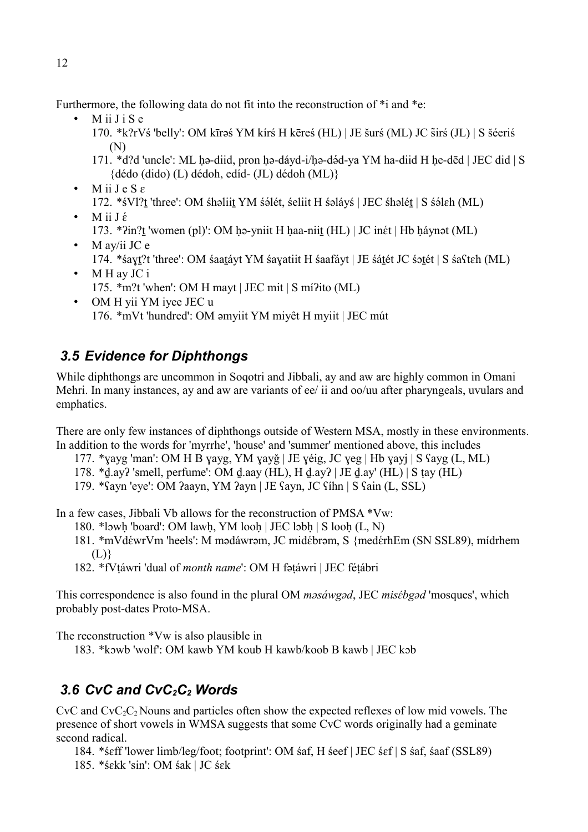Furthermore, the following data do not fit into the reconstruction of  $*$ i and  $*$ e:

- M ii J i S e
	- 170. \*k?rVś 'belly': OM kīrǝś YM kírś H kēreś (HL) | JE šurś (ML) JC sirś (JL) | S šéeriś ä (N)
	- 171. \*d?d 'uncle': ML ḥə-diid, pron ḥə-dáyd-i/ḥə-dəQd-ya YM ha-diid H ḥe-dēd | JEC did | S {dédo (dido) (L) dédoh, edíd- (JL) dédoh (ML)}
- $\bullet$  M ii J e S  $\varepsilon$ 172. \*śVl?t 'three': OM śhəliit YM śəlét, śeliit H śəláyś | JEC śhəlét | S śəleh (ML)
- M ii  $J \acute{\epsilon}$ 173. \*?in?t 'women (pl)': OM ḥə-yniit H ḥaa-niit (HL) | JC inét | Hb ḥáynət (ML)
- M av/ii JC  $e$ 174. \*śaɣṯ?t 'three': OM śaaṯáyt YM śaɣatiit H śaafáyt | JE śáṯét JC śɔṯét | S śaʕtɛh (ML)
- M H av JC i 175. \*m?t 'when': OM H mayt | JEC mit | S míʔito (ML)
- OM H yii YM iyee JEC u 176. \*mVt 'hundred': OM əmyiit YM miyêt H myiit | JEC mút

# *3.5 Evidence for Diphthongs*

While diphthongs are uncommon in Soqotri and Jibbali, ay and aw are highly common in Omani Mehri. In many instances, ay and aw are variants of ee/ ii and oo/uu after pharyngeals, uvulars and emphatics.

There are only few instances of diphthongs outside of Western MSA, mostly in these environments. In addition to the words for 'myrrhe', 'house' and 'summer' mentioned above, this includes

- 177. \*ɣayg 'man': OM H B ɣayg, YM ɣayǧ | JE ɣéig, JC ɣeg | Hb ɣayj | S ʕayg (L, ML)
- 178. \*ḏ.ayʔ 'smell, perfume': OM ḏ.aay (HL), H ḏ.ayʔ | JE ḏ.ay' (HL) | S ṭay (HL)
- 179. \*ʕayn 'eye': OM ʔaayn, YM ʔayn | JE ʕayn, JC ʕíhn | S ʕain (L, SSL)

In a few cases, Jibbali Vb allows for the reconstruction of PMSA \*Vw:

- 180. \*lɔwḥ 'board': OM lawḥ, YM looḥ | JEC lɔbḥ | S looḥ (L, N)
- 181. \*mVdéwrVm 'heels': M mədáwrəm, JC midébrəm, S {medérhEm (SN SSL89), mídrhem  $(L)$
- 182. \*fVṭáwri 'dual of *month name*': OM H fəṭáwri | JEC féṭábri

This correspondence is also found in the plural OM *masáwgad*, JEC *misébgad* 'mosques', which probably post-dates Proto-MSA.

The reconstruction \*Vw is also plausible in

183. \*kɔwb 'wolf': OM kawb YM koub H kawb/koob B kawb | JEC kɔb

# *3.6 CvC and CvC2C2 Words*

 $CvC$  and  $CvC_2C_2$  Nouns and particles often show the expected reflexes of low mid vowels. The presence of short vowels in WMSA suggests that some CvC words originally had a geminate second radical.

184. \*śɛff 'lower limb/leg/foot; footprint': OM śaf, H śeef | JEC śɛf | S śaf, śaaf (SSL89) 185. \*śɛkk 'sin': OM śak | JC śɛk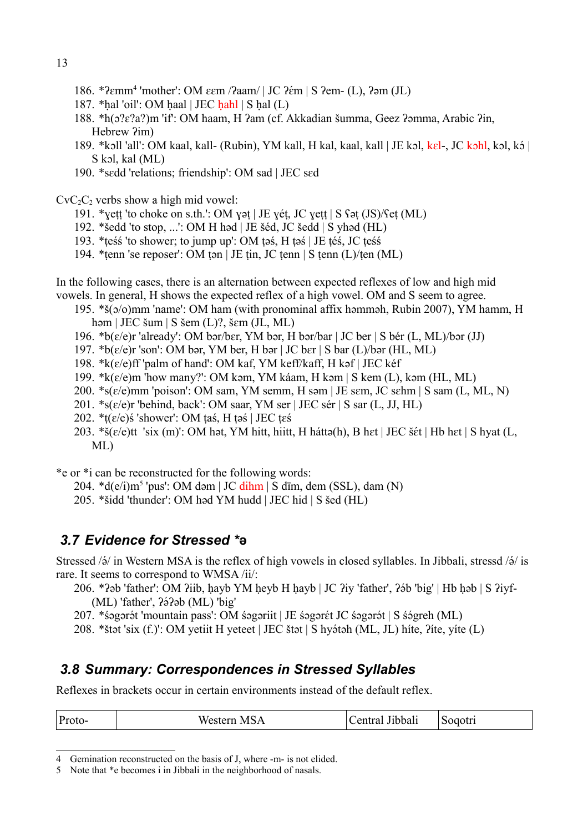- 186. \*?εmm<sup>[4](#page-12-0)</sup> 'mother': ΟΜ εεm /ʔaam/ | JC ʔέm | S ʔem- (L), ʔəm (JL)
- 187.  $*$ hal 'oil': OM haal | JEC hahl | S hal (L)
- 188. \*h(ɔ?ɛ?a?)m 'if': OM haam, H ʔam (cf. Akkadian šumma, Geez ʔəmma, Arabic ʔin, Hebrew  $2$ im)
- 189. \*kɔll 'all': OM kaal, kall- (Rubin), YM kall, H kal, kaal, kall | JE kɔl, kɛl-, JC kɔhl, kɔl, kɔ́ | S kɔl, kal (ML)
- 190. \*sɛdd 'relations; friendship': OM sad | JEC sɛd

 $CvC<sub>2</sub>C<sub>2</sub>$  verbs show a high mid vowel:

- 191. \*ɣeṭṭ 'to choke on s.th.': OM ɣəṭ | JE ɣéṭ, JC ɣeṭṭ | S ʕəṭ (JS)/ʕeṭ (ML)
- 192. \*šedd 'to stop, ...': OM H həd | JE šéd, JC šedd | S yhəd (HL)
- 193. \*ṭeśś 'to shower; to jump up': OM ṭəś, H ṭəś | JE ṭéś, JC ṭeśś
- 194. \*ṭenn 'se reposer': OM ṭən | JE ṭin, JC ṭenn | S ṭenn (L)/ṭen (ML)

In the following cases, there is an alternation between expected reflexes of low and high mid vowels. In general, H shows the expected reflex of a high vowel. OM and S seem to agree.

- 195. \*š(ɔ/o)mm 'name': OM ham (with pronominal affix həmməh, Rubin 2007), YM hamm, H həm | JEC šum | S šem (L)?, šɛm (JL, ML)
- 196. \*b( $\varepsilon$ /e)r 'already': OM bər/b $\varepsilon$ r, YM bər, H bər/bar | JC ber | S bér (L, ML)/bər (JJ)
- 197. \* $b(\varepsilon/\varepsilon)$ r 'son': OM bər, YM ber, H bər | JC b $\varepsilon$ r | S bar (L)/bər (HL, ML)
- 198.  $k(\varepsilon/\varepsilon)$ ff 'palm of hand': OM kaf, YM keff/kaff, H kəf | JEC kéf
- 199. \*k(ɛ/e)m 'how many?': OM kəm, YM káam, H kəm | S kem (L), kəm (HL, ML)
- 200. \*s(ɛ/e)mm 'poison': OM sam, YM semm, H səm | JE sɛm, JC sɛhm | S sam (L, ML, N)
- 201. \*s(ɛ/e)r 'behind, back': OM saar, YM ser | JEC sér | S sar (L, JJ, HL)
- 202.  $*(\varepsilon/\varepsilon)$ ś 'shower': OM taś, H təś | JEC t $\varepsilon$ ś
- 203. \*š(ɛ/e)tt 'six (m)': OM hət, YM hitt, hiitt, H háttə(h), B hɛt | JEC šɛ́t | Hb hɛt | S hyat (L, ML)

\*e or \*i can be reconstructed for the following words:

- $204. *d(e/i) m<sup>5</sup> 'pus': OM dom | JC dihm | S dim, dem (SSL), dam (N)$  $204. *d(e/i) m<sup>5</sup> 'pus': OM dom | JC dihm | S dim, dem (SSL), dam (N)$  $204. *d(e/i) m<sup>5</sup> 'pus': OM dom | JC dihm | S dim, dem (SSL), dam (N)$
- 205. \*šidd 'thunder': OM həd YM hudd | JEC hid | S šed (HL)

## *3.7 Evidence for Stressed \****ə**

Stressed / $\acute{o}$ / in Western MSA is the reflex of high vowels in closed syllables. In Jibbali, stressd / $\acute{o}$ / is rare. It seems to correspond to WMSA /ii/:

- 206. \*?əb 'father': OM ?iib, hayb YM heyb H hayb | JC ?iy 'father', ?ə́b 'big' | Hb həb | S ?iyf-(ML) 'father', ?ə́?əb (ML) 'big'
- 207. \*śəgərət 'mountain pass': OM śəgəriit | JE śəgər $\acute{\text{et}}$  JC śəgərət | S śə $\acute{\text{g}}$ reh (ML)
- 208. \*štət 'six (f.)': OM yetiit H yeteet | JEC štət | S hyə́təh (ML, JL) híte, ?íte, yíte (L)

### *3.8 Summary: Correspondences in Stressed Syllables*

Reflexes in brackets occur in certain environments instead of the default reflex.

| Proto-<br>MSA<br>Sogotri<br>entral<br><b>Wes</b><br>Jibbali<br>siem |  |  |  |  |
|---------------------------------------------------------------------|--|--|--|--|
|---------------------------------------------------------------------|--|--|--|--|

<span id="page-12-0"></span>4 Gemination reconstructed on the basis of J, where -m- is not elided.

<span id="page-12-1"></span><sup>5</sup> Note that \*e becomes i in Jibbali in the neighborhood of nasals.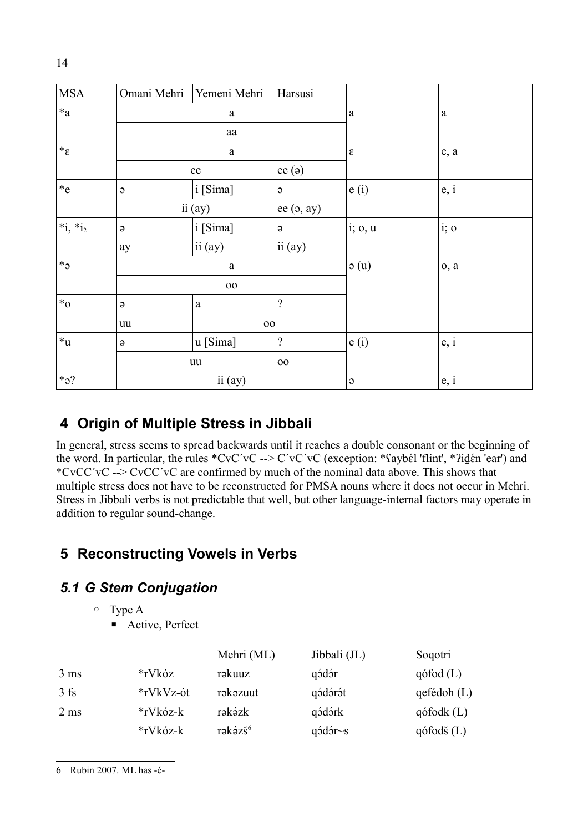| <b>MSA</b>          | Omani Mehri  | Yemeni Mehri | Harsusi      |                           |      |
|---------------------|--------------|--------------|--------------|---------------------------|------|
| $\ast_{\mathrm{a}}$ |              | $\mathbf{a}$ |              | $\mathbf{a}$<br>$\rm{a}$  |      |
|                     |              | ${\rm aa}$   |              |                           |      |
| $*_\varepsilon$     |              | $\rm{a}$     |              | $\boldsymbol{\epsilon}$   | e, a |
|                     |              | ee           | ee(ə)        |                           |      |
| $*_{e}$             | $\Theta$     | i [Sima]     | $\Theta$     | e(i)                      | e, i |
|                     |              | ii (ay)      | ee $(a, ay)$ |                           |      |
| $*_{1,*i_2}$        | $\Theta$     | i [Sima]     | $\Theta$     | i; 0, u                   | i; o |
|                     | ay           | ii (ay)      | ii (ay)      |                           |      |
| $*_3$               |              | $\mathbf{a}$ |              | $\mathfrak{0}(u)$<br>0, a |      |
|                     | $00\,$       |              |              |                           |      |
| $*_{0}$             | $\Theta$     | $\rm{a}$     | $\gamma$     |                           |      |
|                     | $00\,$<br>uu |              |              |                           |      |
| $\ast_{\mathbf{u}}$ | $\Theta$     | u [Sima]     | $\gamma$     | e(i)                      | e, i |
|                     | uu           |              | $00\,$       |                           |      |
| $*_2?$              |              | ii (ay)      |              | $\Theta$                  | e, i |

# **4 Origin of Multiple Stress in Jibbali**

In general, stress seems to spread backwards until it reaches a double consonant or the beginning of the word. In particular, the rules \*CvC'vC --> C'vC'vC (exception: \*ʕaybɛ́l 'flint', \*ʔid̪ɛ́n 'ear') and \*CvCC´vC --> CvCC´vC are confirmed by much of the nominal data above. This shows that multiple stress does not have to be reconstructed for PMSA nouns where it does not occur in Mehri. Stress in Jibbali verbs is not predictable that well, but other language-internal factors may operate in addition to regular sound-change.

# **5 Reconstructing Vowels in Verbs**

## *5.1 G Stem Conjugation*

◦ Type A

■ Active, Perfect

<span id="page-13-0"></span>

|                |           | Mehri (ML)          | Jibbali (JL)                  | Soqotri          |
|----------------|-----------|---------------------|-------------------------------|------------------|
| $3 \text{ ms}$ | *rVkóz    | rəkuuz              | qódór                         | $q$ ófod $(L)$   |
| $3$ fs         | *rVkVz-ót | rəkəzuut            | qódórót                       | $q$ efédoh $(L)$ |
| $2 \text{ ms}$ | *rVkóz-k  | rəkəzk              | qódórk                        | $q$ ófodk $(L)$  |
|                | *rVkóz-k  | rəkəzš <sup>6</sup> | $q\acute{o}d\acute{o}r\sim s$ | $q$ ófodš $(L)$  |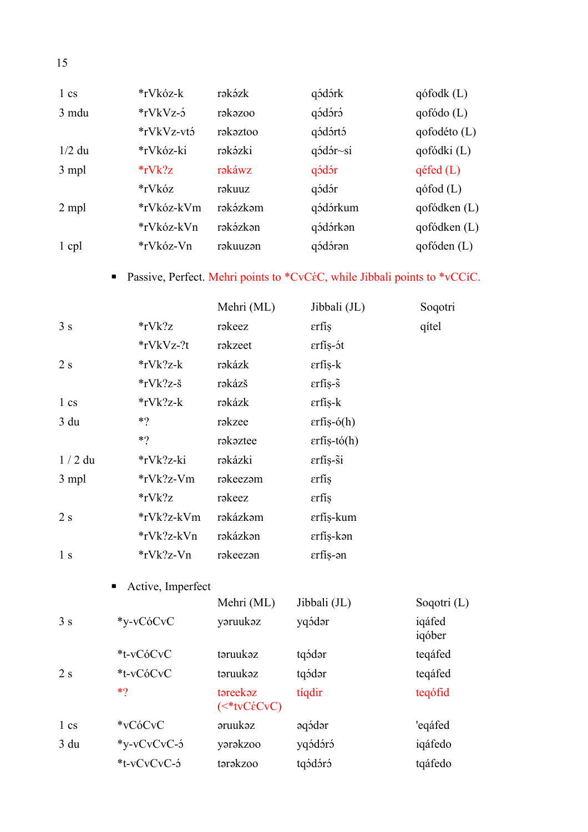| $1 \text{cs}$ | *rVkóz-k        | rəkəzk   | qódórk                         | $q$ ófodk $(L)$ |
|---------------|-----------------|----------|--------------------------------|-----------------|
| 3 mdu         | $*$ rVkVz-3     | rəkəzoo  | qódóró                         | qofódo(L)       |
|               | *rVkVz-vtó      | rəkəztoo | qódórtó                        | qofodéto (L)    |
| $1/2$ du      | *rVkóz-ki       | rəkəzki  | $q\acute{o}d\acute{o}r\sim$ si | qofódki (L)     |
| 3 mpl         | $*_{r}V_{k}$ ?z | rəkáwz   | qódór                          | $q$ éfed $(L)$  |
|               | *rVkóz          | rəkuuz   | qódór                          | $q$ ófod $(L)$  |
| 2 mpl         | *rVkóz-kVm      | rəkəzkəm | qódórkum                       | qofódken(L)     |
|               | *rVkóz-kVn      | rəkəzkən | qódórkən                       | qofódken(L)     |
| 1 cpl         | *rVkóz-Vn       | rəkuuzən | qódóran                        | qofóden(L)      |

# ■ Passive, Perfect. Mehri points to \*CvCéC, while Jibbali points to \*vCCíC.

|                |                        | Mehri (ML)               | Jibbali (JL)                                        | Soqotri          |
|----------------|------------------------|--------------------------|-----------------------------------------------------|------------------|
| 3s             | $*$ rVk?z              | rəkeez                   | εrfís                                               | qítel            |
|                | *rVkVz-?t              | rəkzeet                  | erfís-ót                                            |                  |
| 2s             | *rVk?z-k               | rəkázk                   | $\text{erfi}$ s-k                                   |                  |
|                | $*$ rVk?z-š            | rəkázš                   | $\mathsf{erfi}\mathsf{s}\text{-}\mathsf{\tilde{s}}$ |                  |
| 1 cs           | $*$ rVk?z-k            | rəkázk                   | $\epsilon$ rfís-k                                   |                  |
| 3 du           | $*$ ?                  | rəkzee                   | $\text{erfi}\{-\text{o}(h)$                         |                  |
|                | $*$ ?                  | rəkəztee                 | $\text{erfi}\$ ș-tó $(h)$                           |                  |
| $1/2$ du       | *rVk?z-ki              | rəkázki                  | erfís-si                                            |                  |
| 3 mpl          | $*$ rVk?z-Vm           | rəkeezəm                 | εrfís                                               |                  |
|                | $*$ rVk?z              | rəkeez                   | εrfís                                               |                  |
| 2s             | *rVk?z-kVm             | rəkázkəm                 | erfís-kum                                           |                  |
|                | *rVk?z-kVn             | rəkázkən                 | erfís-kən                                           |                  |
| 1 <sub>s</sub> | *rVk?z-Vn              | rəkeezən                 | erfís-ən                                            |                  |
|                | Active, Imperfect<br>п |                          |                                                     |                  |
|                |                        | Mehri (ML)               | Jibbali (JL)                                        | Soqotri $(L)$    |
| 3s             | *y-vCóCvC              | yaruukaz                 | yqódar                                              | iqáfed<br>iqóber |
|                | *t-vCóCvC              | təruukəz                 | tqódar                                              | teqáfed          |
| 2s             | *t-vCóCvC              | təruukəz                 | tqódar                                              | teqáfed          |
|                | $*$ ?                  | təreekəz<br>$(*tvCéCvC)$ | tíqdir                                              | teqófid          |
| 1 cs           | *vCóCvC                | <b>aruukaz</b>           | əqódər                                              | 'eqáfed          |
| 3 du           | *y-vCvCvC-5            | yarakzoo                 | yqódóró                                             | iqáfedo          |
|                | *t-vCvCvC-5            | tərəkzoo                 | tqódóró                                             | tqáfedo          |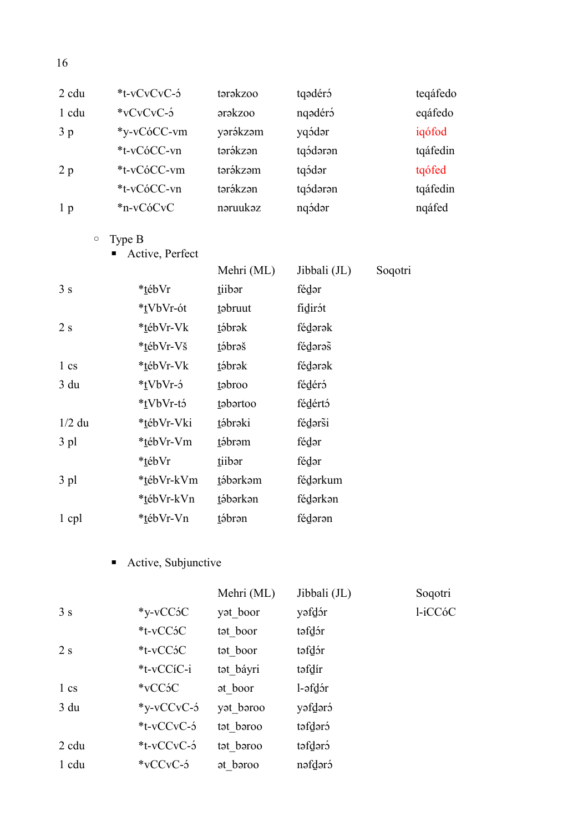|                 |                          |                                                                 | teqáfedo |
|-----------------|--------------------------|-----------------------------------------------------------------|----------|
|                 |                          | nqədéró                                                         | eqáfedo  |
| *y-vCóCC-vm     | yərəkzəm                 | yqódər                                                          | iqófod   |
| *t-vCóCC-vn     | tərəkzən                 | tqódaran                                                        | tqáfedin |
| *t-vCóCC-vm     | tərákzəm                 | tqódar                                                          | tqófed   |
| *t-vCóCC-vn     | tərəkzən                 | tqódaran                                                        | tqáfedin |
| *n-vCóCvC       | nəruukəz                 | nqódar                                                          | nqáfed   |
| Type B          |                          |                                                                 |          |
| Active, Perfect |                          |                                                                 |          |
|                 | Mehri (ML)               | Jibbali (JL)                                                    | Soqotri  |
| *tébVr          | tiibar                   | fédər                                                           |          |
| *tVbVr-ót       | tabruut                  | fidirót                                                         |          |
| *tébVr-Vk       | tábrak                   | fédərək                                                         |          |
| *tébVr-Vš       | tábraš                   | fédaras                                                         |          |
| *tébVr-Vk       | tábrak                   | fédərək                                                         |          |
| *tVbVr-5        | tabroo                   | fédéró                                                          |          |
| *tVbVr-tó       | tabartoo                 | fédértó                                                         |          |
| *tébVr-Vki      | tábraki                  | fédarsi                                                         |          |
| *tébVr-Vm       | tábram                   | fédər                                                           |          |
| *tébVr          | tiibar                   | fédər                                                           |          |
| *tébVr-kVm      | tábarkam                 | fédarkum                                                        |          |
| *tébVr-kVn      | tábarkan                 | fédarkan                                                        |          |
| *tébVr-Vn       | tábran                   | fédərən                                                         |          |
|                 |                          |                                                                 |          |
|                 |                          |                                                                 |          |
|                 | *t-vCvCvC-5<br>*vCvCvC-5 | tərəkzoo<br><b>arakzoo</b><br>$\blacksquare$ Active Subiunctive | tqədéró  |

#### Active, Subjunctive

|               |                             | Mehri (ML)            | Jibbali (JL) | Soqotri |
|---------------|-----------------------------|-----------------------|--------------|---------|
| 3s            | $*_{V}$ -vCC ${}^{\circ}$ C | y <sub>ot</sub> boor  | yəfdər       | l-iCCóC |
|               | *t-vCC5C                    | tat boor              | təfdər       |         |
| 2 s           | $*$ t-v $CC$ ó $C$          | tat boor              | təfdər       |         |
|               | *t-vCCíC-i                  | tət báyri             | təfdír       |         |
| $1 \text{cs}$ | $*$ vCC $5C$                | at boor               | l-əfdər      |         |
| 3 du          | $*_{V-V}$ CCvC-3            | y <sub>ot</sub> boroo | yəfdərə      |         |
|               | $*t$ -vCCvC- $\acute{o}$    | tat baroo             | creblet      |         |
| 2 cdu         | $*t$ -vCCvC-3               | tət bəroo             | təfdərə      |         |
| 1 cdu         | $*$ vCCvC-3                 | at baroo              | nəfdəró      |         |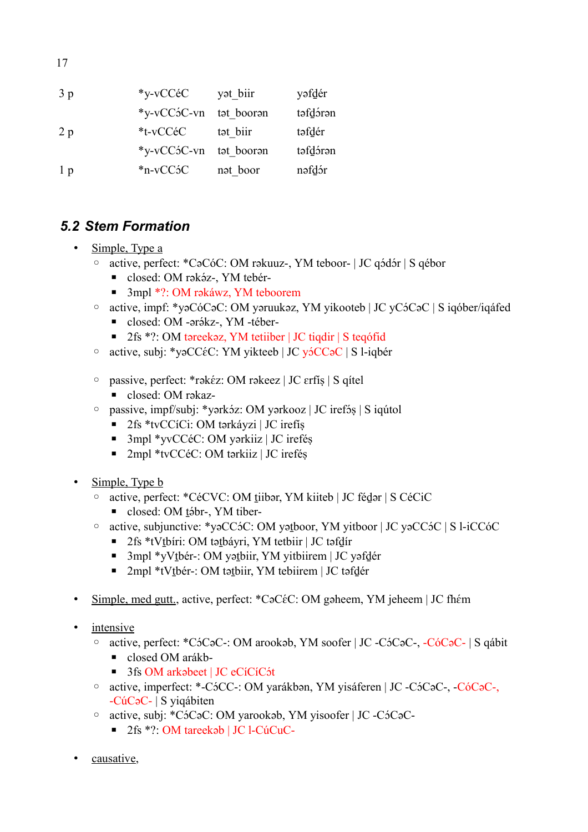17

| 3 <sub>p</sub> | *y-vCCéC         | y <sub>at</sub> biir | yəfdér   |
|----------------|------------------|----------------------|----------|
|                | $*_{V-V}CC5C-vn$ | tat booran           | təfdərən |
| 2p             | *t-vCCéC         | tat biir             | təfdér   |
|                | *y-vCC5C-vn      | tat booran           | təfdərən |
| 1 <sub>p</sub> | $*n-vCC5C$       | nat boor             | nəfdər   |

## *5.2 Stem Formation*

- Simple, Type a
	- ∘ active, perfect: \*CəCóC: OM rəkuuz-, YM teboor- | JC qódór | S qébor
		- $\blacksquare$  closed: OM rəkəz-, YM teber-
		- 3mpl \*?: OM rəkáwz, YM teboorem
	- ∘ active, impf: \*yəCóCəC: OM yəruukəz, YM yikooteb | JC yCóCəC | S iqóber/iqáfed
		- $\blacksquare$  closed: OM -ərəkz-, YM -téber-
		- 2fs \*?: OM təreekəz, YM tetiiber | JC tiqdir | S teqófid
	- ∘ active, subj: \*vəCC $\epsilon$ C: YM yikteeb | JC və CCəC | S l-iqber
	- $\circ$  passive, perfect: \*rək $\epsilon$ z: OM rəkeez | JC ɛrfíṣ | S qítel ■ closed: OM rəkaz-
	- passive, impf/subj: \*yərkɔ́z: OM yərkooz | JC irefɔ́s | S iqútol
		- 2fs \*tvCCíCi: OM tərkáyzi | JC irefíş
		- 3mpl \*yvCCéC: OM yərkiiz | JC irefés
		- 2mpl \*tvCCéC: OM tərkiiz | JC ireféş
- Simple, Type **b** 
	- active, perfect: \*CéCVC: OM tiibər, YM kiiteb | JC fédər | S CéCiC
		- $\blacksquare$  closed: OM tiber-, YM tiber-
	- active, subjunctive: \*yəCCɔQC: OM yəṯboor, YM yitboor | JC yəCCɔQC | S l-iCCóC
		- 2fs \*tVtbíri: OM tətbáyri, YM tetbiir | JC təfdír
		- 3mpl \*yVtbér-: OM yətbiir, YM yitbiirem | JC yəfdér
		- 2mpl \*tVtbér-: OM tətbiir, YM tebiirem | JC təfdér
- Simple, med gutt., active, perfect: \*CəC $\epsilon$ C: OM gəheem, YM jeheem | JC fh $\epsilon$ m
- intensive
	- active, perfect: \*CɔQCəC-: OM arookəb, YM soofer | JC -CɔQCəC-, -CóCəC- | S qábit
		- closed OM arákb-
		- $\blacksquare$  3fs OM arkabeet | JC eCíCíCót
	- active, imperfect: \*-CɔQCC-: OM yarákbən, YM yisáferen | JC -CɔQCəC-, -CóCəC-, -CúCəC- | S yiqábiten
	- active, subj: \*CɔQCəC: OM yarookəb, YM yisoofer | JC -CɔQCəC-
		- 2fs \*?: OM tareekəb | JC l-CúCuC-
- causative,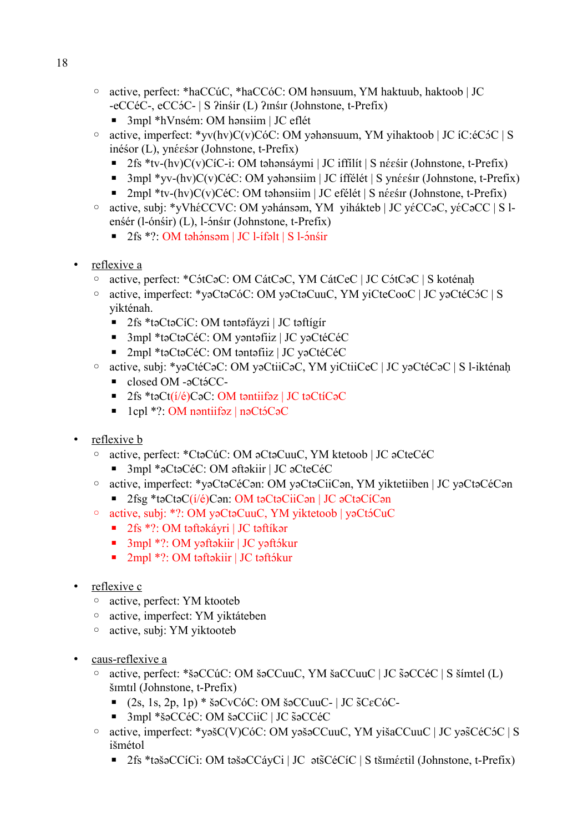- active, perfect: \*haCCúC, \*haCCóC: OM hənsuum, YM haktuub, haktoob | JC -eCCéC-, eCCɔQC- | S ʔinśir (L) ʔɪnśɪr (Johnstone, t-Prefix)
	- 3mpl \*hVnsém: OM hənsiim | JC eflét
- $\circ$  active, imperfect: \*yv(hv)C(v)CóC: OM yəhənsuum, YM yihaktoob | JC íC:éC5C | S inéśor (L), ynéeśor (Johnstone, t-Prefix)
	- $\blacksquare$  2fs \*tv-(hv)C(v)CíC-i: OM təhənsáymi | JC iffilit | S néesir (Johnstone, t-Prefix)
	- $\blacksquare$  3mpl \*yv-(hv)C(v)CéC: OM yəhənsiim | JC íffélét | S ynéesir (Johnstone, t-Prefix)
	- $\blacksquare$  2mpl \*tv-(hv)C(v)CéC: OM təhənsiim | JC efélét | S néestr (Johnstone, t-Prefix)
- ∘ active, subj: \*yVhéCCVC: OM yəhánsəm, YM yihákteb | JC yéCCəC, yéCəCC | S lenśér (l-ónśir) (L), l-ónśir (Johnstone, t-Prefix)
	- $\blacksquare$  2fs \*?: OM təhənsəm | JC l-ífəlt | S l-ónśir
- reflexive a
	- ∘ active, perfect: \*CótCəC: OM CátCəC, YM CátCeC | JC CótCəC | S koténaḥ
	- active, imperfect: \*yəCtəCóC: OM yəCtəCuuC, YM yiCteCooC | JC yəCtéCɔQC | S yikténah.
		- 2fs \*təCtəCíC: OM təntəfáyzi | JC təftígír
		- 3mpl \*təCtəCéC: OM yəntəfiiz | JC yəCtéCéC
		- 2mpl \*təCtəCéC: OM təntəfiiz | JC yəCtéCéC
	- active, subj: \*yəCtéCəC: OM yəCtiiCəC, YM yiCtiiCeC | JC yəCtéCəC | S l-ikténaḥ
		- closed OM -aCtáCC-
		- 2fs \*təCt( $i/é$ )CəC: OM təntiifəz | JC təCtíCəC
		- $\blacksquare$  1cpl \*?: OM nəntiifəz | nəCtɔ́CəC
- reflexive **b** 
	- active, perfect: \*CtəCúC: OM əCtəCuuC, YM ktetoob | JC əCteCéC
		- 3mpl \*əCtəCéC: OM əftəkiir | JC əCteCéC
	- active, imperfect: \*yəCtəCéCən: OM yəCtəCiiCən, YM yiktetiiben | JC yəCtəCéCən ■ 2fsg \*təCtəC(í/é)Cən: OM təCtəCiiCən | JC əCtəCíCən
	- ∘ active, subj: \*?: OM yəCtəCuuC, YM yiktetoob | yəCtəCuC
		- 2fs \*?: OM təftəkáyri | JC təftíkər
		- $\blacksquare$  3mpl \*?: OM yəftəkiir | JC yəftəkur
		- $\blacksquare$  2mpl \*?: OM təftəkiir | JC təftəkur
- reflexive c
	- active, perfect: YM ktooteb
	- active, imperfect: YM yiktáteben
	- active, subj: YM yiktooteb
- caus-reflexive a
	- active, perfect: \*šəCCúC: OM šəCCuuC, YM šaCCuuC | JC səCCéC | S šímtel (L) ä šɪmtɪl (Johnstone, t-Prefix)
		- $\blacksquare$  (2s, 1s, 2p, 1p) \* šəCvCóC: OM šəCCuuC- | JC  $SCE$ c $C$ 6C-
		- 3mpl \*šəCCéC: OM šəCCiiC | JC šəCCéC
	- $\degree$  active, imperfect: \*vəšC(V)CóC: OM yəšəCCuuC, YM yišaCCuuC | JC yəšCéC $\degree$ C | S išmétol
		- $\blacksquare$  2fs \*təšəCCíCi: OM təšəCCáyCi | JC əts̄CéCíC | S tšiméetil (Johnstone, t-Prefix)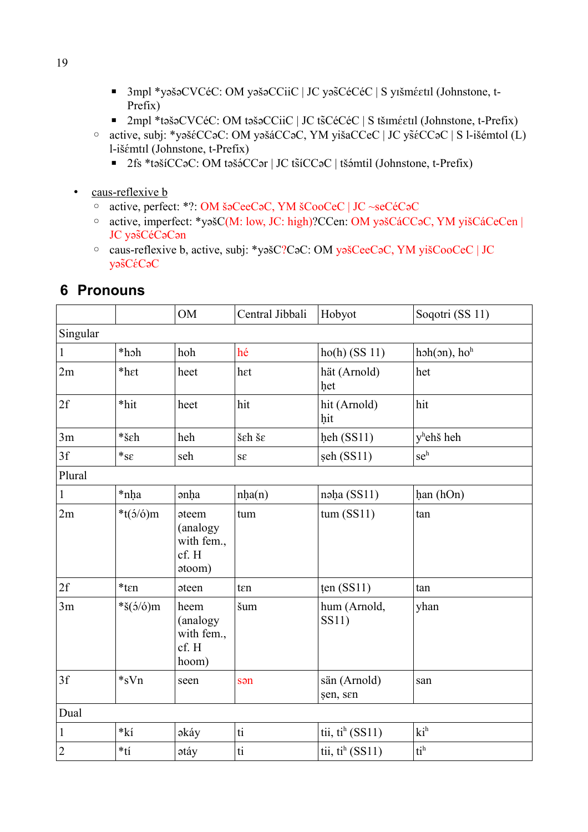- $\blacksquare$  3mpl \*yəšəCVCéC: OM yəšəCCiiC | JC yəšCéCéC | S yıšmé $\epsilon$ til (Johnstone, t-Prefix)
- $\blacksquare$  2mpl \*təšəCVCéC: OM təšəCCiiC | JC ts̄CéCéC | S tšɪmɛ́ɛtɪl (Johnstone, t-Prefix)
- active, subj: \*yəšɛQCCəC: OM yəšáCCəC, YM yišaCCeC | JC ysɛäQCCəC | S l-išémtol (L) l-išémtil (Johnstone, t-Prefix)
	- $\blacksquare$  2fs \*təšíCCəC: OM təšə́CCər | JC tšíCCəC | tšəmtil (Johnstone, t-Prefix)
- caus-reflexive **b** 
	- active, perfect: \*?: OM šəCeeCəC, YM šCooCeC | JC ~seCéCəC
	- active, imperfect: \*yəšC(M: low, JC: high)?CCen: OM yəšCáCCəC, YM yišCáCeCen | JC yas<sup>céCaCan</sup>
	- caus-reflexive b, active, subj: \*yəšC?CəC: OM yəšCeeCəC, YM yišCooCeC | JC  $y$ ə $\tilde{S}C\acute{\epsilon}C$ ə $C$

|  | 6 Pronouns |
|--|------------|
|--|------------|

|                |                                                               | <b>OM</b>                                                                  | Central Jibbali        | Hobyot                      | Soqotri (SS 11)        |
|----------------|---------------------------------------------------------------|----------------------------------------------------------------------------|------------------------|-----------------------------|------------------------|
| Singular       |                                                               |                                                                            |                        |                             |                        |
| $\mathbf{1}$   | *hoh                                                          | hoh                                                                        | hé                     | $ho(h)$ (SS 11)             | $hsh(3n)$ , $hoh$      |
| 2m             | *h <sub>et</sub>                                              | heet                                                                       | het                    | hät (Arnold)<br>het         | het                    |
| 2f             | *hit                                                          | heet                                                                       | hit                    | hit (Arnold)<br>hit         | hit                    |
| 3m             | *šεh                                                          | heh                                                                        | šεh šε                 | heh (SS11)                  | y <sup>h</sup> ehš heh |
| 3f             | $*_\text{SE}$                                                 | seh                                                                        | $S\mathcal{E}$         | șeh (SS11)                  | seh                    |
| Plural         |                                                               |                                                                            |                        |                             |                        |
| $\mathbf{1}$   | *nha                                                          | <b>anha</b>                                                                | nha(n)                 | nəha (SS11)                 | han (hOn)              |
| 2m             | * $t(5/6)$ m                                                  | <b>ateem</b><br>(analogy<br>with fem.,<br>cf. H<br>$\mathfrak{a}$ toom $)$ | tum                    | $tum$ (SS11)                | tan                    |
| 2f             | $*$ t $\epsilon$ n                                            | <b>ateen</b>                                                               | ten                    | ten $(SS11)$                | tan                    |
| 3m             | $*\check{\mathrm{S}}(\acute{\mathrm{O}}/\acute{\mathrm{O}})m$ | heem<br>(analogy<br>with fem.,<br>cf. H<br>hoom)                           | šum                    | hum (Arnold,<br>SS11)       | yhan                   |
| 3f             | $*_{s}Vn$                                                     | seen                                                                       | sən                    | sän (Arnold)<br>şen, sen    | san                    |
| Dual           |                                                               |                                                                            |                        |                             |                        |
| $\mathbf 1$    | $*k$                                                          | əkáy                                                                       | $\mathrm{t\bar{t}}$    | tii, tih $(SS11)$           | $ki^h$                 |
| $\overline{c}$ | $*_{t}$                                                       | <b>atáy</b>                                                                | $\mathrm{t}\mathrm{i}$ | tii, ti <sup>h</sup> (SS11) | $ti^h$                 |